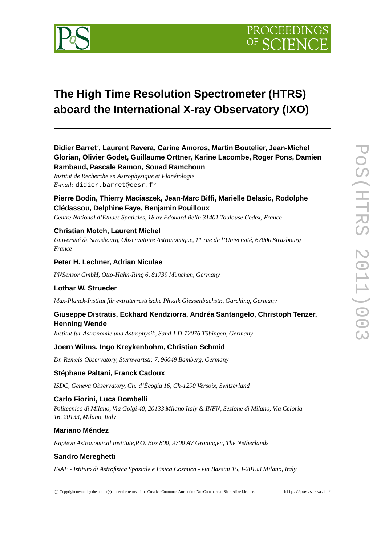

# **The High Time Resolution Spectrometer (HTRS) aboard the International X-ray Observatory (IXO)**

# **Didier Barret**∗ **, Laurent Ravera, Carine Amoros, Martin Boutelier, Jean-Michel Glorian, Olivier Godet, Guillaume Orttner, Karine Lacombe, Roger Pons, Damien Rambaud, Pascale Ramon, Souad Ramchoun**

*Institut de Recherche en Astrophysique et Planétologie E-mail:* didier.barret@cesr.fr

# **Pierre Bodin, Thierry Maciaszek, Jean-Marc Biffi, Marielle Belasic, Rodolphe Clédassou, Delphine Faye, Benjamin Pouilloux**

*Centre National d'Etudes Spatiales, 18 av Edouard Belin 31401 Toulouse Cedex, France*

## **Christian Motch, Laurent Michel**

*Université de Strasbourg, Observatoire Astronomique, 11 rue de l'Université, 67000 Strasbourg France*

## **Peter H. Lechner, Adrian Niculae**

*PNSensor GmbH, Otto-Hahn-Ring 6, 81739 München, Germany*

## **Lothar W. Strueder**

*Max-Planck-Institut für extraterrestrische Physik Giessenbachstr., Garching, Germany*

# **Giuseppe Distratis, Eckhard Kendziorra, Andréa Santangelo, Christoph Tenzer, Henning Wende**

*Institut für Astronomie und Astrophysik, Sand 1 D-72076 Tübingen, Germany*

## **Joern Wilms, Ingo Kreykenbohm, Christian Schmid**

*Dr. Remeis-Observatory, Sternwartstr. 7, 96049 Bamberg, Germany*

## **Stéphane Paltani, Franck Cadoux**

*ISDC, Geneva Observatory, Ch. d'Écogia 16, Ch-1290 Versoix, Switzerland*

## **Carlo Fiorini, Luca Bombelli**

*Politecnico di Milano, Via Golgi 40, 20133 Milano Italy & INFN, Sezione di Milano, Via Celoria 16, 20133, Milano, Italy*

## **Mariano Méndez**

*Kapteyn Astronomical Institute,P.O. Box 800, 9700 AV Groningen, The Netherlands*

## **Sandro Mereghetti**

*INAF - Istituto di Astrofisica Spaziale e Fisica Cosmica - via Bassini 15, I-20133 Milano, Italy*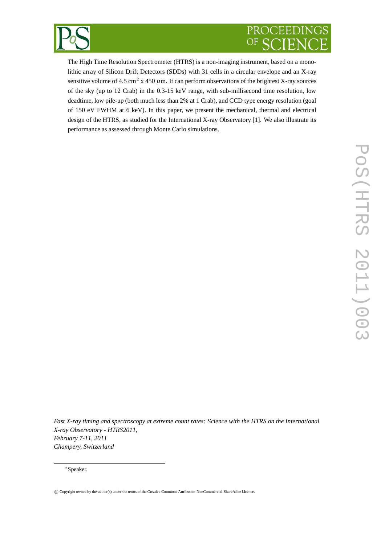

# PROCEEDINGS  $OF$

The High Time Resolution Spectrometer (HTRS) is a non-imaging instrument, based on a monolithic array of Silicon Drift Detectors (SDDs) with 31 cells in a circular envelope and an X-ray sensitive volume of 4.5 cm<sup>2</sup> x 450  $\mu$ m. It can perform observations of the brightest X-ray sources of the sky (up to 12 Crab) in the 0.3-15 keV range, with sub-millisecond time resolution, low deadtime, low pile-up (both much less than 2% at 1 Crab), and CCD type energy resolution (goal of 150 eV FWHM at 6 keV). In this paper, we present the mechanical, thermal and electrical design of the HTRS, as studied for the International X-ray Observatory [1]. We also illustrate its performance as assessed through Monte Carlo simulations.

*Fast X-ray timing and spectroscopy at extreme count rates: Science with the HTRS on the International X-ray Observatory - HTRS2011, February 7-11, 2011 Champery, Switzerland*

∗Speaker.

c Copyright owned by the author(s) under the terms of the Creative Commons Attribution-NonCommercial-ShareAlike Licence.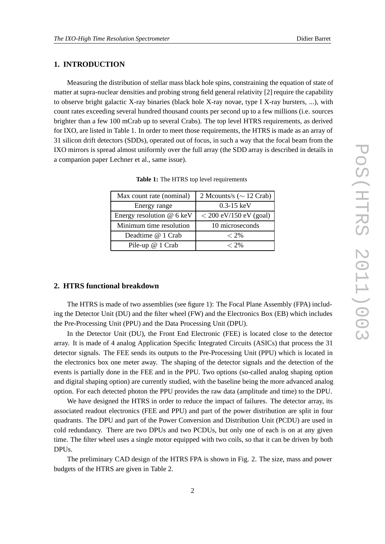### **1. INTRODUCTION**

Measuring the distribution of stellar mass black hole spins, constraining the equation of state of matter at supra-nuclear densities and probing strong field general relativity [2] require the capability to observe bright galactic X-ray binaries (black hole X-ray novae, type I X-ray bursters, ...), with count rates exceeding several hundred thousand counts per second up to a few millions (i.e. sources brighter than a few 100 mCrab up to several Crabs). The top level HTRS requirements, as derived for IXO, are listed in Table 1. In order to meet those requirements, the HTRS is made as an array of 31 silicon drift detectors (SDDs), operated out of focus, in such a way that the focal beam from the IXO mirrors is spread almost uniformly over the full array (the SDD array is described in details in a companion paper Lechner et al., same issue).

| Max count rate (nominal)  | 2 Mcounts/s ( $\sim$ 12 Crab) |
|---------------------------|-------------------------------|
| Energy range              | $0.3 - 15 \text{ keV}$        |
| Energy resolution @ 6 keV | $<$ 200 eV/150 eV (goal)      |
| Minimum time resolution   | 10 microseconds               |
| Deadtime @ 1 Crab         | $< 2\%$                       |
| Pile-up @ 1 Crab          | $< 2\%$                       |

**Table 1:** The HTRS top level requirements

## **2. HTRS functional breakdown**

The HTRS is made of two assemblies (see figure 1): The Focal Plane Assembly (FPA) including the Detector Unit (DU) and the filter wheel (FW) and the Electronics Box (EB) which includes the Pre-Processing Unit (PPU) and the Data Processing Unit (DPU).

In the Detector Unit (DU), the Front End Electronic (FEE) is located close to the detector array. It is made of 4 analog Application Specific Integrated Circuits (ASICs) that process the 31 detector signals. The FEE sends its outputs to the Pre-Processing Unit (PPU) which is located in the electronics box one meter away. The shaping of the detector signals and the detection of the events is partially done in the FEE and in the PPU. Two options (so-called analog shaping option and digital shaping option) are currently studied, with the baseline being the more advanced analog option. For each detected photon the PPU provides the raw data (amplitude and time) to the DPU.

We have designed the HTRS in order to reduce the impact of failures. The detector array, its associated readout electronics (FEE and PPU) and part of the power distribution are split in four quadrants. The DPU and part of the Power Conversion and Distribution Unit (PCDU) are used in cold redundancy. There are two DPUs and two PCDUs, but only one of each is on at any given time. The filter wheel uses a single motor equipped with two coils, so that it can be driven by both DPUs.

The preliminary CAD design of the HTRS FPA is shown in Fig. 2. The size, mass and power budgets of the HTRS are given in Table 2.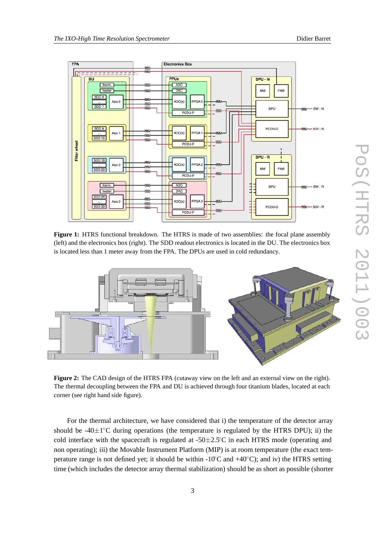



**Figure 1:** HTRS functional breakdown. The HTRS is made of two assemblies: the focal plane assembly (left) and the electronics box (right). The SDD readout electronics is located in the DU. The electronics box is located less than 1 meter away from the FPA. The DPUs are used in cold redundancy.



**Figure 2:** The CAD design of the HTRS FPA (cutaway view on the left and an external view on the right). The thermal decoupling between the FPA and DU is achieved through four titanium blades, located at each corner (see right hand side figure).

For the thermal architecture, we have considered that i) the temperature of the detector array should be  $-40\pm1°C$  during operations (the temperature is regulated by the HTRS DPU); ii) the cold interface with the spacecraft is regulated at  $-50\pm2.5^{\circ}$ C in each HTRS mode (operating and non operating); iii) the Movable Instrument Platform (MIP) is at room temperature (the exact temperature range is not defined yet; it should be within  $-10^{\circ}\text{C}$  and  $+40^{\circ}\text{C}$ ); and iv) the HTRS setting time (which includes the detector array thermal stabilization) should be as short as possible (shorter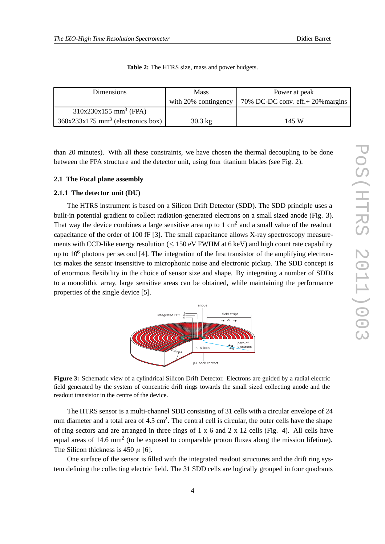| Dimensions                                      | <b>Mass</b>          | Power at peak                              |
|-------------------------------------------------|----------------------|--------------------------------------------|
|                                                 | with 20% contingency | 70% DC-DC conv. $\text{eff.}+20\%$ margins |
| $310x230x155$ mm <sup>3</sup> (FPA)             |                      |                                            |
| $360x233x175$ mm <sup>3</sup> (electronics box) | $30.3 \text{ kg}$    | 145 W                                      |

**Table 2:** The HTRS size, mass and power budgets.

than 20 minutes). With all these constraints, we have chosen the thermal decoupling to be done between the FPA structure and the detector unit, using four titanium blades (see Fig. 2).

#### **2.1 The Focal plane assembly**

#### **2.1.1 The detector unit (DU)**

The HTRS instrument is based on a Silicon Drift Detector (SDD). The SDD principle uses a built-in potential gradient to collect radiation-generated electrons on a small sized anode (Fig. 3). That way the device combines a large sensitive area up to 1 cm<sup>2</sup> and a small value of the readout capacitance of the order of 100 fF [3]. The small capacitance allows X-ray spectroscopy measurements with CCD-like energy resolution  $(< 150 \text{ eV}$  FWHM at 6 keV) and high count rate capability up to  $10^6$  photons per second [4]. The integration of the first transistor of the amplifying electronics makes the sensor insensitive to microphonic noise and electronic pickup. The SDD concept is of enormous flexibility in the choice of sensor size and shape. By integrating a number of SDDs to a monolithic array, large sensitive areas can be obtained, while maintaining the performance properties of the single device [5].



**Figure 3:** Schematic view of a cylindrical Silicon Drift Detector. Electrons are guided by a radial electric field generated by the system of concentric drift rings towards the small sized collecting anode and the readout transistor in the centre of the device.

The HTRS sensor is a multi-channel SDD consisting of 31 cells with a circular envelope of 24 mm diameter and a total area of  $4.5 \text{ cm}^2$ . The central cell is circular, the outer cells have the shape of ring sectors and are arranged in three rings of 1 x 6 and 2 x 12 cells (Fig. 4). All cells have equal areas of 14.6 mm<sup>2</sup> (to be exposed to comparable proton fluxes along the mission lifetime). The Silicon thickness is 450  $\mu$  [6].

One surface of the sensor is filled with the integrated readout structures and the drift ring system defining the collecting electric field. The 31 SDD cells are logically grouped in four quadrants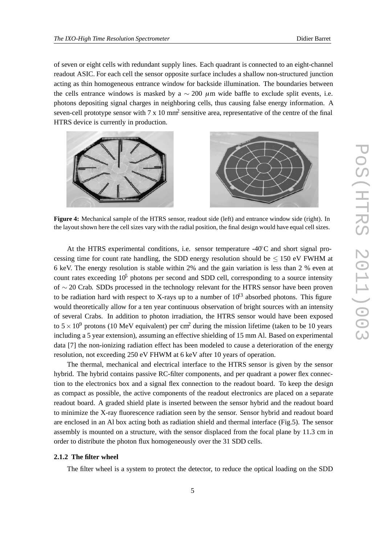of seven or eight cells with redundant supply lines. Each quadrant is connected to an eight-channel readout ASIC. For each cell the sensor opposite surface includes a shallow non-structured junction acting as thin homogeneous entrance window for backside illumination. The boundaries between the cells entrance windows is masked by a  $\sim$  200 µm wide baffle to exclude split events, i.e. photons depositing signal charges in neighboring cells, thus causing false energy information. A seven-cell prototype sensor with  $7 \times 10$  mm<sup>2</sup> sensitive area, representative of the centre of the final HTRS device is currently in production.



**Figure 4:** Mechanical sample of the HTRS sensor, readout side (left) and entrance window side (right). In the layout shown here the cell sizes vary with the radial position, the final design would have equal cell sizes.

At the HTRS experimental conditions, i.e. sensor temperature  $-40^{\circ}$ C and short signal processing time for count rate handling, the SDD energy resolution should be  $\leq 150$  eV FWHM at 6 keV. The energy resolution is stable within 2% and the gain variation is less than 2 % even at count rates exceeding  $10<sup>5</sup>$  photons per second and SDD cell, corresponding to a source intensity of ∼ 20 Crab. SDDs processed in the technology relevant for the HTRS sensor have been proven to be radiation hard with respect to X-rays up to a number of  $10^{13}$  absorbed photons. This figure would theoretically allow for a ten year continuous observation of bright sources with an intensity of several Crabs. In addition to photon irradiation, the HTRS sensor would have been exposed to  $5 \times 10^9$  protons (10 MeV equivalent) per cm<sup>2</sup> during the mission lifetime (taken to be 10 years including a 5 year extension), assuming an effective shielding of 15 mm Al. Based on experimental data [7] the non-ionizing radiation effect has been modeled to cause a deterioration of the energy resolution, not exceeding 250 eV FHWM at 6 keV after 10 years of operation.

The thermal, mechanical and electrical interface to the HTRS sensor is given by the sensor hybrid. The hybrid contains passive RC-filter components, and per quadrant a power flex connection to the electronics box and a signal flex connection to the readout board. To keep the design as compact as possible, the active components of the readout electronics are placed on a separate readout board. A graded shield plate is inserted between the sensor hybrid and the readout board to minimize the X-ray fluorescence radiation seen by the sensor. Sensor hybrid and readout board are enclosed in an Al box acting both as radiation shield and thermal interface (Fig.5). The sensor assembly is mounted on a structure, with the sensor displaced from the focal plane by 11.3 cm in order to distribute the photon flux homogeneously over the 31 SDD cells.

#### **2.1.2 The filter wheel**

The filter wheel is a system to protect the detector, to reduce the optical loading on the SDD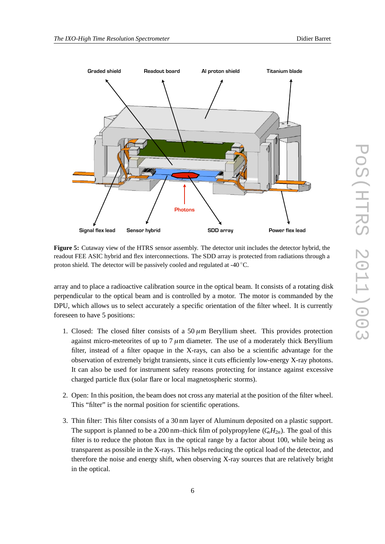



**Figure 5:** Cutaway view of the HTRS sensor assembly. The detector unit includes the detector hybrid, the readout FEE ASIC hybrid and flex interconnections. The SDD array is protected from radiations through a proton shield. The detector will be passively cooled and regulated at -40 ℃.

array and to place a radioactive calibration source in the optical beam. It consists of a rotating disk perpendicular to the optical beam and is controlled by a motor. The motor is commanded by the DPU, which allows us to select accurately a specific orientation of the filter wheel. It is currently foreseen to have 5 positions:

- 1. Closed: The closed filter consists of a  $50 \mu m$  Beryllium sheet. This provides protection against micro-meteorites of up to  $7 \mu$ m diameter. The use of a moderately thick Beryllium filter, instead of a filter opaque in the X-rays, can also be a scientific advantage for the observation of extremely bright transients, since it cuts efficiently low-energy X-ray photons. It can also be used for instrument safety reasons protecting for instance against excessive charged particle flux (solar flare or local magnetospheric storms).
- 2. Open: In this position, the beam does not cross any material at the position of the filter wheel. This "filter" is the normal position for scientific operations.
- 3. Thin filter: This filter consists of a 30 nm layer of Aluminum deposited on a plastic support. The support is planned to be a 200 nm–thick film of polypropylene  $(C_nH_{2n})$ . The goal of this filter is to reduce the photon flux in the optical range by a factor about 100, while being as transparent as possible in the X-rays. This helps reducing the optical load of the detector, and therefore the noise and energy shift, when observing X-ray sources that are relatively bright in the optical.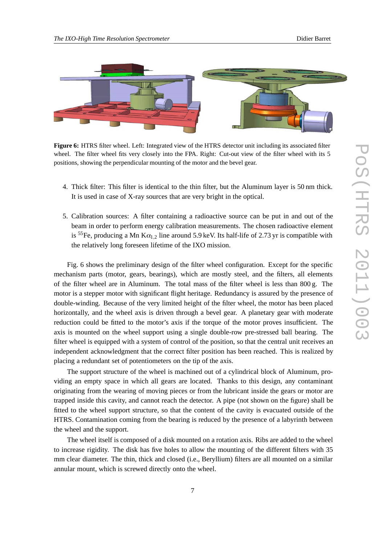

**Figure 6:** HTRS filter wheel. Left: Integrated view of the HTRS detector unit including its associated filter wheel. The filter wheel fits very closely into the FPA. Right: Cut-out view of the filter wheel with its 5 positions, showing the perpendicular mounting of the motor and the bevel gear.

- 4. Thick filter: This filter is identical to the thin filter, but the Aluminum layer is 50 nm thick. It is used in case of X-ray sources that are very bright in the optical.
- 5. Calibration sources: A filter containing a radioactive source can be put in and out of the beam in order to perform energy calibration measurements. The chosen radioactive element is <sup>55</sup>Fe, producing a Mn  $K\alpha_{1,2}$  line around 5.9 keV. Its half-life of 2.73 yr is compatible with the relatively long foreseen lifetime of the IXO mission.

Fig. 6 shows the preliminary design of the filter wheel configuration. Except for the specific mechanism parts (motor, gears, bearings), which are mostly steel, and the filters, all elements of the filter wheel are in Aluminum. The total mass of the filter wheel is less than 800 g. The motor is a stepper motor with significant flight heritage. Redundancy is assured by the presence of double-winding. Because of the very limited height of the filter wheel, the motor has been placed horizontally, and the wheel axis is driven through a bevel gear. A planetary gear with moderate reduction could be fitted to the motor's axis if the torque of the motor proves insufficient. The axis is mounted on the wheel support using a single double-row pre-stressed ball bearing. The filter wheel is equipped with a system of control of the position, so that the central unit receives an independent acknowledgment that the correct filter position has been reached. This is realized by placing a redundant set of potentiometers on the tip of the axis.

The support structure of the wheel is machined out of a cylindrical block of Aluminum, providing an empty space in which all gears are located. Thanks to this design, any contaminant originating from the wearing of moving pieces or from the lubricant inside the gears or motor are trapped inside this cavity, and cannot reach the detector. A pipe (not shown on the figure) shall be fitted to the wheel support structure, so that the content of the cavity is evacuated outside of the HTRS. Contamination coming from the bearing is reduced by the presence of a labyrinth between the wheel and the support.

The wheel itself is composed of a disk mounted on a rotation axis. Ribs are added to the wheel to increase rigidity. The disk has five holes to allow the mounting of the different filters with 35 mm clear diameter. The thin, thick and closed (i.e., Beryllium) filters are all mounted on a similar annular mount, which is screwed directly onto the wheel.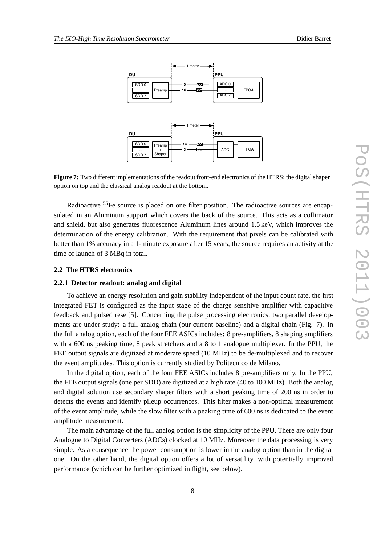

**Figure 7:** Two different implementations of the readout front-end electronics of the HTRS: the digital shaper option on top and the classical analog readout at the bottom.

Radioactive <sup>55</sup>Fe source is placed on one filter position. The radioactive sources are encapsulated in an Aluminum support which covers the back of the source. This acts as a collimator and shield, but also generates fluorescence Aluminum lines around 1.5 keV, which improves the determination of the energy calibration. With the requirement that pixels can be calibrated with better than 1% accuracy in a 1-minute exposure after 15 years, the source requires an activity at the time of launch of 3 MBq in total.

#### **2.2 The HTRS electronics**

#### **2.2.1 Detector readout: analog and digital**

To achieve an energy resolution and gain stability independent of the input count rate, the first integrated FET is configured as the input stage of the charge sensitive amplifier with capacitive feedback and pulsed reset[5]. Concerning the pulse processing electronics, two parallel developments are under study: a full analog chain (our current baseline) and a digital chain (Fig. 7). In the full analog option, each of the four FEE ASICs includes: 8 pre-amplifiers, 8 shaping amplifiers with a 600 ns peaking time, 8 peak stretchers and a 8 to 1 analogue multiplexer. In the PPU, the FEE output signals are digitized at moderate speed (10 MHz) to be de-multiplexed and to recover the event amplitudes. This option is currently studied by Politecnico de Milano.

In the digital option, each of the four FEE ASICs includes 8 pre-amplifiers only. In the PPU, the FEE output signals (one per SDD) are digitized at a high rate (40 to 100 MHz). Both the analog and digital solution use secondary shaper filters with a short peaking time of 200 ns in order to detects the events and identify pileup occurrences. This filter makes a non-optimal measurement of the event amplitude, while the slow filter with a peaking time of 600 ns is dedicated to the event amplitude measurement.

The main advantage of the full analog option is the simplicity of the PPU. There are only four Analogue to Digital Converters (ADCs) clocked at 10 MHz. Moreover the data processing is very simple. As a consequence the power consumption is lower in the analog option than in the digital one. On the other hand, the digital option offers a lot of versatility, with potentially improved performance (which can be further optimized in flight, see below).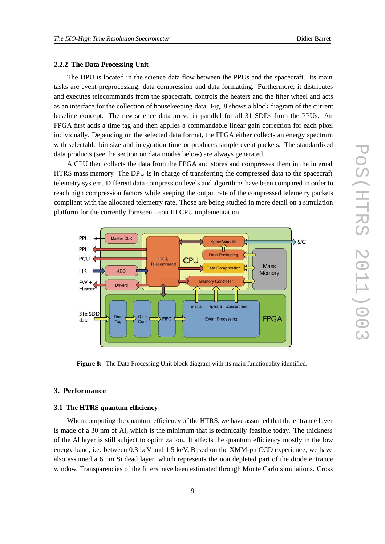#### **2.2.2 The Data Processing Unit**

The DPU is located in the science data flow between the PPUs and the spacecraft. Its main tasks are event-preprocessing, data compression and data formatting. Furthermore, it distributes and executes telecommands from the spacecraft, controls the heaters and the filter wheel and acts as an interface for the collection of housekeeping data. Fig. 8 shows a block diagram of the current baseline concept. The raw science data arrive in parallel for all 31 SDDs from the PPUs. An FPGA first adds a time tag and then applies a commandable linear gain correction for each pixel individually. Depending on the selected data format, the FPGA either collects an energy spectrum with selectable bin size and integration time or produces simple event packets. The standardized data products (see the section on data modes below) are always generated.

A CPU then collects the data from the FPGA and stores and compresses them in the internal HTRS mass memory. The DPU is in charge of transferring the compressed data to the spacecraft telemetry system. Different data compression levels and algorithms have been compared in order to reach high compression factors while keeping the output rate of the compressed telemetry packets compliant with the allocated telemetry rate. Those are being studied in more detail on a simulation platform for the currently foreseen Leon III CPU implementation.



**Figure 8:** The Data Processing Unit block diagram with its main functionality identified.

#### **3. Performance**

#### **3.1 The HTRS quantum efficiency**

When computing the quantum efficiency of the HTRS, we have assumed that the entrance layer is made of a 30 nm of Al, which is the minimum that is technically feasible today. The thickness of the Al layer is still subject to optimization. It affects the quantum efficiency mostly in the low energy band, i.e. between 0.3 keV and 1.5 keV. Based on the XMM-pn CCD experience, we have also assumed a 6 nm Si dead layer, which represents the non depleted part of the diode entrance window. Transparencies of the filters have been estimated through Monte Carlo simulations. Cross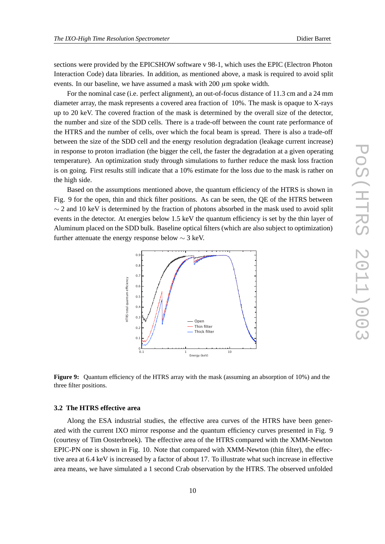sections were provided by the EPICSHOW software v 98-1, which uses the EPIC (Electron Photon Interaction Code) data libraries. In addition, as mentioned above, a mask is required to avoid split events. In our baseline, we have assumed a mask with  $200 \mu m$  spoke width.

For the nominal case (i.e. perfect alignment), an out-of-focus distance of 11.3 cm and a 24 mm diameter array, the mask represents a covered area fraction of 10%. The mask is opaque to X-rays up to 20 keV. The covered fraction of the mask is determined by the overall size of the detector, the number and size of the SDD cells. There is a trade-off between the count rate performance of the HTRS and the number of cells, over which the focal beam is spread. There is also a trade-off between the size of the SDD cell and the energy resolution degradation (leakage current increase) in response to proton irradiation (the bigger the cell, the faster the degradation at a given operating temperature). An optimization study through simulations to further reduce the mask loss fraction is on going. First results still indicate that a 10% estimate for the loss due to the mask is rather on the high side.

Based on the assumptions mentioned above, the quantum efficiency of the HTRS is shown in Fig. 9 for the open, thin and thick filter positions. As can be seen, the QE of the HTRS between  $\sim$  2 and 10 keV is determined by the fraction of photons absorbed in the mask used to avoid split events in the detector. At energies below 1.5 keV the quantum efficiency is set by the thin layer of Aluminum placed on the SDD bulk. Baseline optical filters (which are also subject to optimization) further attenuate the energy response below  $\sim$  3 keV.



**Figure 9:** Quantum efficiency of the HTRS array with the mask (assuming an absorption of 10%) and the three filter positions.

#### **3.2 The HTRS effective area**

Along the ESA industrial studies, the effective area curves of the HTRS have been generated with the current IXO mirror response and the quantum efficiency curves presented in Fig. 9 (courtesy of Tim Oosterbroek). The effective area of the HTRS compared with the XMM-Newton EPIC-PN one is shown in Fig. 10. Note that compared with XMM-Newton (thin filter), the effective area at 6.4 keV is increased by a factor of about 17. To illustrate what such increase in effective area means, we have simulated a 1 second Crab observation by the HTRS. The observed unfolded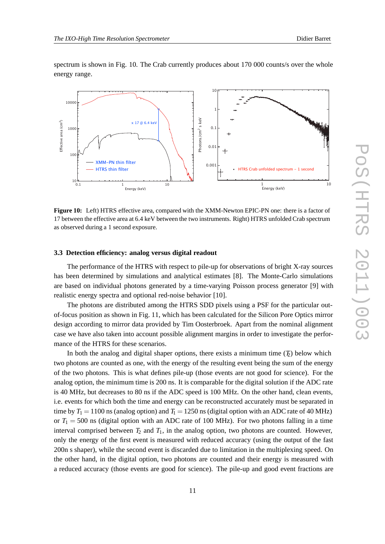spectrum is shown in Fig. 10. The Crab currently produces about 170 000 counts/s over the whole energy range.



**Figure 10:** Left) HTRS effective area, compared with the XMM-Newton EPIC-PN one: there is a factor of 17 between the effective area at 6.4 keV between the two instruments. Right) HTRS unfolded Crab spectrum as observed during a 1 second exposure.

#### **3.3 Detection efficiency: analog versus digital readout**

The performance of the HTRS with respect to pile-up for observations of bright X-ray sources has been determined by simulations and analytical estimates [8]. The Monte-Carlo simulations are based on individual photons generated by a time-varying Poisson process generator [9] with realistic energy spectra and optional red-noise behavior [10].

The photons are distributed among the HTRS SDD pixels using a PSF for the particular outof-focus position as shown in Fig. 11, which has been calculated for the Silicon Pore Optics mirror design according to mirror data provided by Tim Oosterbroek. Apart from the nominal alignment case we have also taken into account possible alignment margins in order to investigate the performance of the HTRS for these scenarios.

In both the analog and digital shaper options, there exists a minimum time  $(F)$  below which two photons are counted as one, with the energy of the resulting event being the sum of the energy of the two photons. This is what defines pile-up (those events are not good for science). For the analog option, the minimum time is 200 ns. It is comparable for the digital solution if the ADC rate is 40 MHz, but decreases to 80 ns if the ADC speed is 100 MHz. On the other hand, clean events, i.e. events for which both the time and energy can be reconstructed accurately must be separated in time by  $T_1 = 1100$  ns (analog option) and  $T_1 = 1250$  ns (digital option with an ADC rate of 40 MHz) or  $T_1 = 500$  ns (digital option with an ADC rate of 100 MHz). For two photons falling in a time interval comprised between  $T_2$  and  $T_1$ , in the analog option, two photons are counted. However, only the energy of the first event is measured with reduced accuracy (using the output of the fast 200n s shaper), while the second event is discarded due to limitation in the multiplexing speed. On the other hand, in the digital option, two photons are counted and their energy is measured with a reduced accuracy (those events are good for science). The pile-up and good event fractions are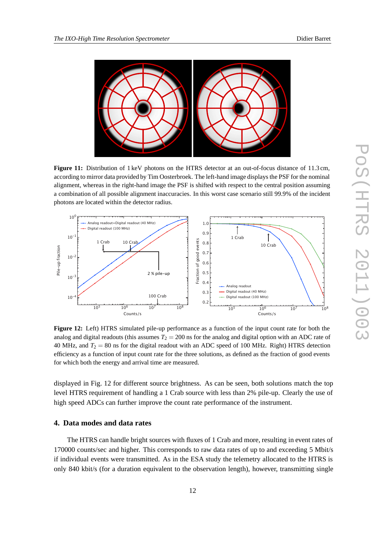

**Figure 11:** Distribution of 1 keV photons on the HTRS detector at an out-of-focus distance of 11.3 cm, according to mirror data provided by Tim Oosterbroek. The left-hand image displays the PSF for the nominal alignment, whereas in the right-hand image the PSF is shifted with respect to the central position assuming a combination of all possible alignment inaccuracies. In this worst case scenario still 99.9% of the incident photons are located within the detector radius.



**Figure 12:** Left) HTRS simulated pile-up performance as a function of the input count rate for both the analog and digital readouts (this assumes  $T_2 = 200$  ns for the analog and digital option with an ADC rate of 40 MHz, and  $T_2 = 80$  ns for the digital readout with an ADC speed of 100 MHz. Right) HTRS detection efficiency as a function of input count rate for the three solutions, as defined as the fraction of good events for which both the energy and arrival time are measured.

displayed in Fig. 12 for different source brightness. As can be seen, both solutions match the top level HTRS requirement of handling a 1 Crab source with less than 2% pile-up. Clearly the use of high speed ADCs can further improve the count rate performance of the instrument.

## **4. Data modes and data rates**

The HTRS can handle bright sources with fluxes of 1 Crab and more, resulting in event rates of 170000 counts/sec and higher. This corresponds to raw data rates of up to and exceeding 5 Mbit/s if individual events were transmitted. As in the ESA study the telemetry allocated to the HTRS is only 840 kbit/s (for a duration equivalent to the observation length), however, transmitting single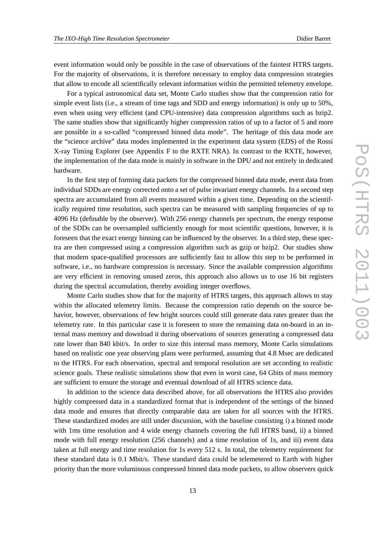event information would only be possible in the case of observations of the faintest HTRS targets. For the majority of observations, it is therefore necessary to employ data compression strategies that allow to encode all scientifically relevant information within the permitted telemetry envelope.

For a typical astronomical data set, Monte Carlo studies show that the compression ratio for simple event lists (i.e., a stream of time tags and SDD and energy information) is only up to 50%, even when using very efficient (and CPU-intensive) data compression algorithms such as bzip2. The same studies show that significantly higher compression ratios of up to a factor of 5 and more are possible in a so-called "compressed binned data mode". The heritage of this data mode are the "science archive" data modes implemented in the experiment data system (EDS) of the Rossi X-ray Timing Explorer (see Appendix F to the RXTE NRA). In contrast to the RXTE, however, the implementation of the data mode is mainly in software in the DPU and not entirely in dedicated hardware.

In the first step of forming data packets for the compressed binned data mode, event data from individual SDDs are energy corrected onto a set of pulse invariant energy channels. In a second step spectra are accumulated from all events measured within a given time. Depending on the scientifically required time resolution, such spectra can be measured with sampling frequencies of up to 4096 Hz (definable by the observer). With 256 energy channels per spectrum, the energy response of the SDDs can be oversampled sufficiently enough for most scientific questions, however, it is foreseen that the exact energy binning can be influenced by the observer. In a third step, these spectra are then compressed using a compression algorithm such as gzip or bzip2. Our studies show that modern space-qualified processors are sufficiently fast to allow this step to be performed in software, i.e., no hardware compression is necessary. Since the available compression algorithms are very efficient in removing unused zeros, this approach also allows us to use 16 bit registers during the spectral accumulation, thereby avoiding integer overflows.

Monte Carlo studies show that for the majority of HTRS targets, this approach allows to stay within the allocated telemetry limits. Because the compression ratio depends on the source behavior, however, observations of few bright sources could still generate data rates greater than the telemetry rate. In this particular case it is foreseen to store the remaining data on-board in an internal mass memory and download it during observations of sources generating a compressed data rate lower than 840 kbit/s. In order to size this internal mass memory, Monte Carlo simulations based on realistic one year observing plans were performed, assuming that 4.8 Msec are dedicated to the HTRS. For each observation, spectral and temporal resolution are set according to realistic science goals. These realistic simulations show that even in worst case, 64 Gbits of mass memory are sufficient to ensure the storage and eventual download of all HTRS science data.

In addition to the science data described above, for all observations the HTRS also provides highly compressed data in a standardized format that is independent of the settings of the binned data mode and ensures that directly comparable data are taken for all sources with the HTRS. These standardized modes are still under discussion, with the baseline consisting i) a binned mode with 1ms time resolution and 4 wide energy channels covering the full HTRS band, ii) a binned mode with full energy resolution (256 channels) and a time resolution of 1s, and iii) event data taken at full energy and time resolution for 1s every 512 s. In total, the telemetry requirement for these standard data is 0.1 Mbit/s. These standard data could be telemetered to Earth with higher priority than the more voluminous compressed binned data mode packets, to allow observers quick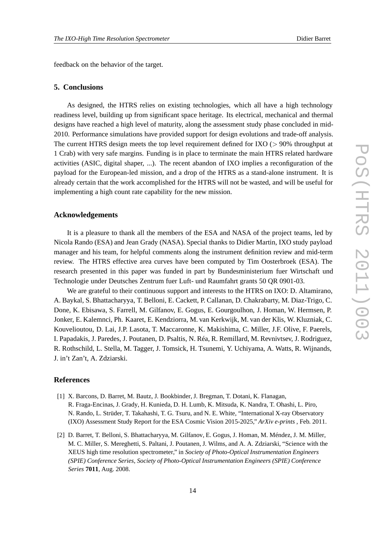feedback on the behavior of the target.

#### **5. Conclusions**

As designed, the HTRS relies on existing technologies, which all have a high technology readiness level, building up from significant space heritage. Its electrical, mechanical and thermal designs have reached a high level of maturity, along the assessment study phase concluded in mid-2010. Performance simulations have provided support for design evolutions and trade-off analysis. The current HTRS design meets the top level requirement defined for IXO (*>* 90% throughput at 1 Crab) with very safe margins. Funding is in place to terminate the main HTRS related hardware activities (ASIC, digital shaper, ...). The recent abandon of IXO implies a reconfiguration of the payload for the European-led mission, and a drop of the HTRS as a stand-alone instrument. It is already certain that the work accomplished for the HTRS will not be wasted, and will be useful for implementing a high count rate capability for the new mission.

## **Acknowledgements**

It is a pleasure to thank all the members of the ESA and NASA of the project teams, led by Nicola Rando (ESA) and Jean Grady (NASA). Special thanks to Didier Martin, IXO study payload manager and his team, for helpful comments along the instrument definition review and mid-term review. The HTRS effective area curves have been computed by Tim Oosterbroek (ESA). The research presented in this paper was funded in part by Bundesministerium fuer Wirtschaft und Technologie under Deutsches Zentrum fuer Luft- und Raumfahrt grants 50 QR 0901-03.

We are grateful to their continuous support and interests to the HTRS on IXO: D. Altamirano, A. Baykal, S. Bhattacharyya, T. Belloni, E. Cackett, P. Callanan, D. Chakrabarty, M. Diaz-Trigo, C. Done, K. Ebisawa, S. Farrell, M. Gilfanov, E. Gogus, E. Gourgoulhon, J. Homan, W. Hermsen, P. Jonker, E. Kalemnci, Ph. Kaaret, E. Kendziorra, M. van Kerkwijk, M. van der Klis, W. Kluzniak, C. Kouvelioutou, D. Lai, J.P. Lasota, T. Maccaronne, K. Makishima, C. Miller, J.F. Olive, F. Paerels, I. Papadakis, J. Paredes, J. Poutanen, D. Psaltis, N. Réa, R. Remillard, M. Revnivtsev, J. Rodriguez, R. Rothschild, L. Stella, M. Tagger, J. Tomsick, H. Tsunemi, Y. Uchiyama, A. Watts, R. Wijnands, J. in't Zan't, A. Zdziarski.

#### **References**

- [1] X. Barcons, D. Barret, M. Bautz, J. Bookbinder, J. Bregman, T. Dotani, K. Flanagan, R. Fraga-Encinas, J. Grady, H. Kunieda, D. H. Lumb, K. Mitsuda, K. Nandra, T. Ohashi, L. Piro, N. Rando, L. Strüder, T. Takahashi, T. G. Tsuru, and N. E. White, "International X-ray Observatory (IXO) Assessment Study Report for the ESA Cosmic Vision 2015-2025," *ArXiv e-prints* , Feb. 2011.
- [2] D. Barret, T. Belloni, S. Bhattacharyya, M. Gilfanov, E. Gogus, J. Homan, M. Méndez, J. M. Miller, M. C. Miller, S. Mereghetti, S. Paltani, J. Poutanen, J. Wilms, and A. A. Zdziarski, "Science with the XEUS high time resolution spectrometer," in *Society of Photo-Optical Instrumentation Engineers (SPIE) Conference Series*, *Society of Photo-Optical Instrumentation Engineers (SPIE) Conference Series* **7011**, Aug. 2008.